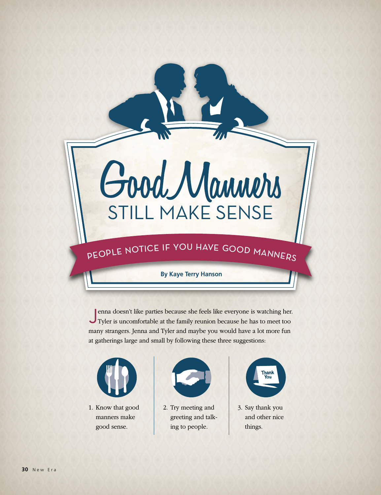# Good Manners

## PEOPLE NOTICE IF YOU HAVE GOOD MANNERS

#### **By Kaye Terry Hanson**

Jenna doesn't like parties because she feels like everyone is watching her. Tyler is uncomfortable at the family reunion because he has to meet too many strangers. Jenna and Tyler and maybe you would have a lot more fun at gatherings large and small by following these three suggestions:



1. Know that good manners make good sense.



2. Try meeting and greeting and talking to people.



3. Say thank you and other nice things.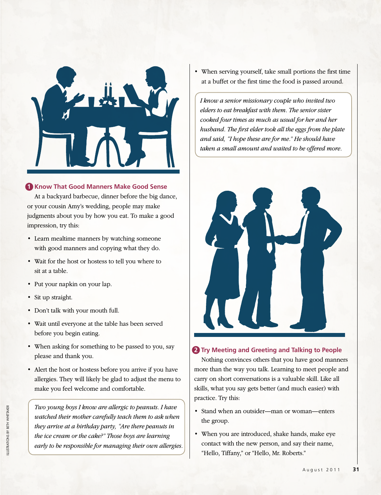

#### **1 Know That Good Manners Make Good Sense**

At a backyard barbecue, dinner before the big dance, or your cousin Amy's wedding, people may make judgments about you by how you eat. To make a good impression, try this:

- Learn mealtime manners by watching someone with good manners and copying what they do.
- • Wait for the host or hostess to tell you where to sit at a table.
- Put your napkin on your lap.
- Sit up straight.
- • Don't talk with your mouth full.
- • Wait until everyone at the table has been served before you begin eating.
- When asking for something to be passed to you, say please and thank you.
- Alert the host or hostess before you arrive if you have allergies. They will likely be glad to adjust the menu to make you feel welcome and comfortable.

*Two young boys I know are allergic to peanuts. I have watched their mother carefully teach them to ask when they arrive at a birthday party, "Are there peanuts in the ice cream or the cake?" Those boys are learning early to be responsible for managing their own allergies.* • When serving yourself, take small portions the first time at a buffet or the first time the food is passed around.

*I know a senior missionary couple who invited two elders to eat breakfast with them. The senior sister cooked four times as much as usual for her and her husband. The first elder took all the eggs from the plate and said, "I hope these are for me." He should have taken a small amount and waited to be offered more.*



#### **2** Try Meeting and Greeting and Talking to People

Nothing convinces others that you have good manners more than the way you talk. Learning to meet people and carry on short conversations is a valuable skill. Like all skills, what you say gets better (and much easier) with practice. Try this:

- Stand when an outsider—man or woman—enters the group.
- When you are introduced, shake hands, make eye contact with the new person, and say their name, "Hello, Tiffany," or "Hello, Mr. Roberts."